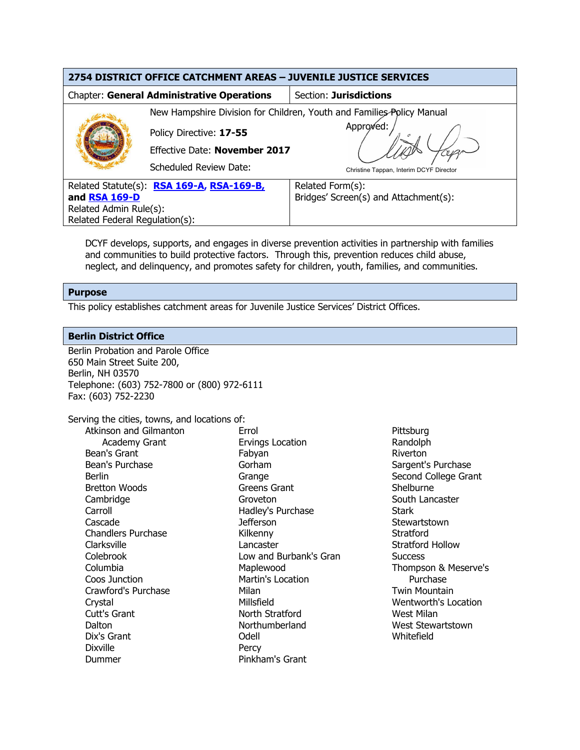| 2754 DISTRICT OFFICE CATCHMENT AREAS - JUVENILE JUSTICE SERVICES |                                                                       |                                         |  |  |  |
|------------------------------------------------------------------|-----------------------------------------------------------------------|-----------------------------------------|--|--|--|
| <b>Chapter: General Administrative Operations</b>                |                                                                       | Section: Jurisdictions                  |  |  |  |
|                                                                  | New Hampshire Division for Children, Youth and Families Policy Manual |                                         |  |  |  |
|                                                                  | Policy Directive: 17-55                                               | Approved:                               |  |  |  |
|                                                                  | <b>Effective Date: November 2017</b>                                  |                                         |  |  |  |
|                                                                  | Scheduled Review Date:                                                | Christine Tappan, Interim DCYF Director |  |  |  |
| Related Statute(s): RSA 169-A, RSA-169-B,                        |                                                                       | Related Form(s):                        |  |  |  |
| and RSA 169-D                                                    |                                                                       | Bridges' Screen(s) and Attachment(s):   |  |  |  |
| Related Admin Rule(s):                                           |                                                                       |                                         |  |  |  |
| Related Federal Regulation(s):                                   |                                                                       |                                         |  |  |  |

DCYF develops, supports, and engages in diverse prevention activities in partnership with families and communities to build protective factors. Through this, prevention reduces child abuse, neglect, and delinquency, and promotes safety for children, youth, families, and communities.

### **Purpose**

This policy establishes catchment areas for Juvenile Justice Services' District Offices.

### **Berlin District Office**

Berlin Probation and Parole Office 650 Main Street Suite 200, Berlin, NH 03570 Telephone: (603) 752-7800 or (800) 972-6111 Fax: (603) 752-2230

Serving the cities, towns, and locations of:

| Atkinson and Gilmanton    | Errol                    | <b>Pitts</b> |
|---------------------------|--------------------------|--------------|
| <b>Academy Grant</b>      | <b>Ervings Location</b>  | Ran          |
| Bean's Grant              | Fabyan                   | <b>Rive</b>  |
| Bean's Purchase           | Gorham                   | Saro         |
| Berlin                    | Grange                   | Sec          |
| <b>Bretton Woods</b>      | Greens Grant             | She          |
| Cambridge                 | Groveton                 | Sou          |
| Carroll                   | Hadley's Purchase        | Star         |
| Cascade                   | <b>Jefferson</b>         | <b>Stey</b>  |
| <b>Chandlers Purchase</b> | Kilkenny                 | Stra         |
| Clarksville               | Lancaster                | Stra         |
| Colebrook                 | Low and Burbank's Gran   | Suc          |
| Columbia                  | Maplewood                | Tho          |
| Coos Junction             | <b>Martin's Location</b> |              |
| Crawford's Purchase       | Milan                    | Twi          |
| Crystal                   | Millsfield               | Wer          |
| Cutt's Grant              | North Stratford          | Wes          |
| Dalton                    | Northumberland           | Wes          |
| Dix's Grant               | Odell                    | Whi          |
| <b>Dixville</b>           | Percy                    |              |
| Dummer                    | Pinkham's Grant          |              |

sburg dolph erton gent's Purchase ond College Grant elburne th Lancaster rk wartstown atford atford Hollow cess mpson & Meserve's Purchase in Mountain ntworth's Location st Milan st Stewartstown itefield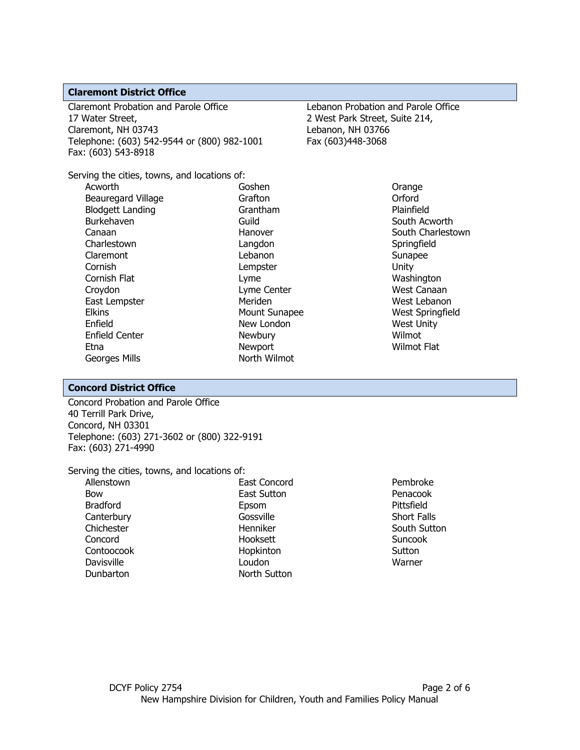### **Claremont District Office**

Claremont Probation and Parole Office 17 Water Street, Claremont, NH 03743 Telephone: (603) 542-9544 or (800) 982-1001 Fax: (603) 543-8918

Lebanon Probation and Parole Office 2 West Park Street, Suite 214, Lebanon, NH 03766 Fax (603)448-3068

Orange

Serving the cities, towns, and locations of: Acworth Beauregard Village Blodgett Landing Burkehaven Canaan **Charlestown** Claremont Cornish Cornish Flat Goshen

Grafton Grantham Guild Hanover Langdon Lebanon Lempster Lyme Lyme Center Meriden Mount Sunapee New London Newbury Newport North Wilmot

### Orford Plainfield South Acworth South Charlestown **Springfield** Sunapee Unity Washington West Canaan West Lebanon West Springfield West Unity Wilmot Wilmot Flat

## **Concord District Office**

Enfield Center

Georges Mills

Croydon East Lempster

**Elkins** Enfield

Etna

Concord Probation and Parole Office 40 Terrill Park Drive, Concord, NH 03301 Telephone: (603) 271-3602 or (800) 322-9191 Fax: (603) 271-4990

### Serving the cities, towns, and locations of:

Allenstown Bow Bradford **Canterbury Chichester** Concord Contoocook Davisville Dunbarton

East Concord East Sutton Epsom Gossville Henniker Hooksett Hopkinton Loudon North Sutton

Pembroke Penacook Pittsfield Short Falls South Sutton Suncook **Sutton** Warner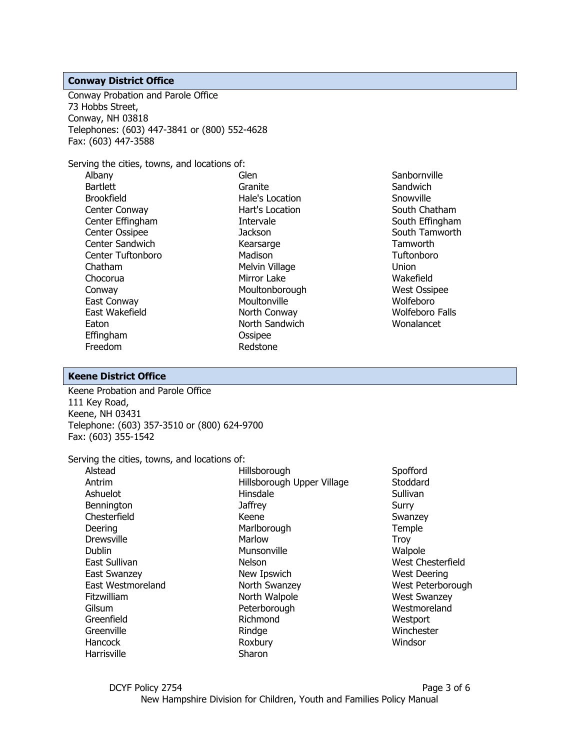#### **Conway District Office**

Conway Probation and Parole Office 73 Hobbs Street, Conway, NH 03818 Telephones: (603) 447-3841 or (800) 552-4628 Fax: (603) 447-3588

Serving the cities, towns, and locations of:

Albany Bartlett Brookfield Center Conway Center Effingham Center Ossipee Center Sandwich Center Tuftonboro Chatham Chocorua Conway East Conway East Wakefield Eaton Effingham Freedom

Glen Granite Hale's Location Hart's Location Intervale **Jackson** Kearsarge Madison Melvin Village Mirror Lake Moultonborough Moultonville North Conway North Sandwich Ossipee Redstone

**Sanbornville Sandwich** Snowville South Chatham South Effingham South Tamworth **Tamworth Tuftonboro** Union Wakefield West Ossipee Wolfeboro Wolfeboro Falls Wonalancet

#### **Keene District Office**

Keene Probation and Parole Office 111 Key Road, Keene, NH 03431 Telephone: (603) 357-3510 or (800) 624-9700 Fax: (603) 355-1542

Serving the cities, towns, and locations of:

| Alstead           | Hillsborough               | Spofford            |
|-------------------|----------------------------|---------------------|
| Antrim            | Hillsborough Upper Village | Stoddard            |
| Ashuelot          | Hinsdale                   | Sullivan            |
| Bennington        | <b>Jaffrey</b>             | Surry               |
| Chesterfield      | Keene                      | Swanzey             |
| Deering           | Marlborough                | Temple              |
| <b>Drewsville</b> | Marlow                     | Troy                |
| Dublin            | Munsonville                | Walpole             |
| East Sullivan     | Nelson                     | West Chesterfield   |
| East Swanzey      | New Ipswich                | <b>West Deering</b> |
| East Westmoreland | North Swanzey              | West Peterborough   |
| Fitzwilliam       | North Walpole              | <b>West Swanzey</b> |
| Gilsum            | Peterborough               | Westmoreland        |
| Greenfield        | Richmond                   | Westport            |
| Greenville        | Rindge                     | Winchester          |
| <b>Hancock</b>    | Roxbury                    | Windsor             |
| Harrisville       | Sharon                     |                     |
|                   |                            |                     |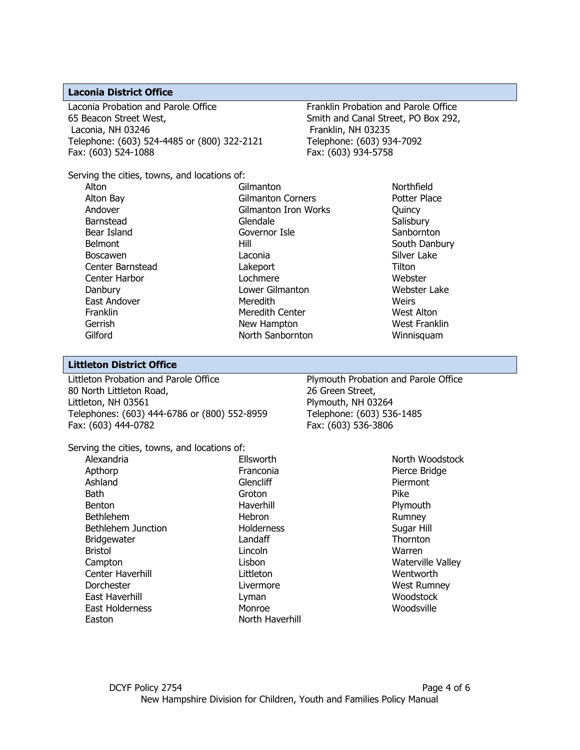#### **Laconia District Office**

Laconia Probation and Parole Office 65 Beacon Street West, Laconia, NH 03246 Telephone: (603) 524-4485 or (800) 322-2121 Fax: (603) 524-1088

Franklin Probation and Parole Office Smith and Canal Street, PO Box 292, Franklin, NH 03235 Telephone: (603) 934-7092 Fax: (603) 934-5758

Serving the cities, towns, and locations of:

Alton Alton Bay Andover Barnstead Bear Island Belmont Boscawen Center Barnstead Center Harbor Danbury East Andover Franklin Gerrish Gilford

**Gilmanton** Gilmanton Corners Gilmanton Iron Works Glendale Governor Isle Hill Laconia Lakeport Lochmere Lower Gilmanton Meredith Meredith Center New Hampton North Sanbornton

Northfield Potter Place **Ouincy Salisbury Sanbornton** South Danbury Silver Lake Tilton Webster Webster Lake **Weirs** West Alton West Franklin Winnisquam

#### **Littleton District Office**

Littleton Probation and Parole Office 80 North Littleton Road, Littleton, NH 03561 Telephones: (603) 444-6786 or (800) 552-8959 Fax: (603) 444-0782

Plymouth Probation and Parole Office 26 Green Street, Plymouth, NH 03264 Telephone: (603) 536-1485 Fax: (603) 536-3806

Serving the cities, towns, and locations of:

Alexandria Apthorp Ashland **Bath** Benton Bethlehem Bethlehem Junction Bridgewater Bristol Campton Center Haverhill **Dorchester** East Haverhill East Holderness Easton

**Ellsworth** Franconia Glencliff Groton Haverhill Hebron **Holderness** Landaff Lincoln Lisbon Littleton Livermore Lyman Monroe North Haverhill

North Woodstock Pierce Bridge Piermont Pike Plymouth Rumney Sugar Hill **Thornton** Warren Waterville Valley Wentworth West Rumney **Woodstock** Woodsville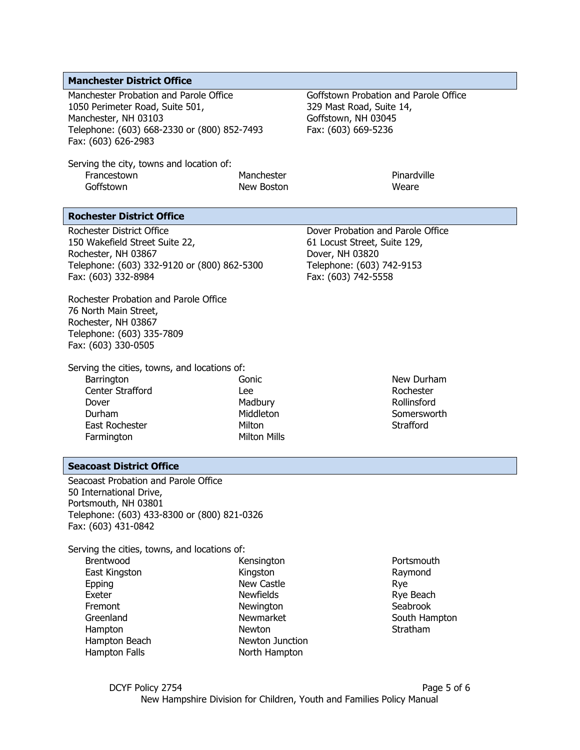### **Manchester District Office**

Manchester Probation and Parole Office 1050 Perimeter Road, Suite 501, Manchester, NH 03103 Telephone: (603) 668-2330 or (800) 852-7493 Fax: (603) 626-2983

Serving the city, towns and location of: Francestown Goffstown

Goffstown Probation and Parole Office 329 Mast Road, Suite 14, Goffstown, NH 03045 Fax: (603) 669-5236

Manchester New Boston

Pinardville Weare

### **Rochester District Office**

Rochester District Office 150 Wakefield Street Suite 22, Rochester, NH 03867 Telephone: (603) 332-9120 or (800) 862-5300 Fax: (603) 332-8984

Rochester Probation and Parole Office 76 North Main Street, Rochester, NH 03867 Telephone: (603) 335-7809 Fax: (603) 330-0505

Serving the cities, towns, and locations of:

**Barrington** Center Strafford Dover Durham East Rochester **Farmington** 

- Gonic Lee **Madbury** Middleton Milton Milton Mills
- 61 Locust Street, Suite 129, Dover, NH 03820 Telephone: (603) 742-9153 Fax: (603) 742-5558

Dover Probation and Parole Office

New Durham Rochester Rollinsford **Somersworth Strafford** 

# **Seacoast District Office**

Seacoast Probation and Parole Office 50 International Drive, Portsmouth, NH 03801 Telephone: (603) 433-8300 or (800) 821-0326 Fax: (603) 431-0842

Serving the cities, towns, and locations of:

Brentwood East Kingston Epping Exeter Fremont Greenland Hampton Hampton Beach Hampton Falls

Kensington Kingston New Castle Newfields Newington Newmarket Newton Newton Junction North Hampton

**Portsmouth** Raymond Rye Rye Beach Seabrook South Hampton Stratham